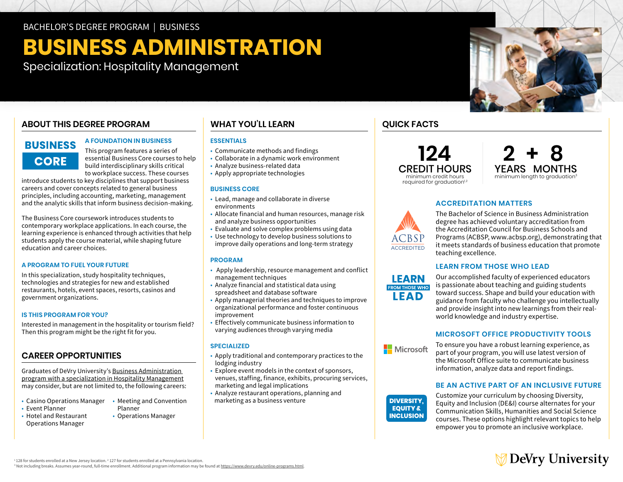BACHELOR'S DEGREE PROGRAM | BUSINESS

# **BUSINESS ADMINISTRATION**

Specialization: Hospitality Management

#### **ABOUT THIS DEGREE PROGRAM**

### **BUSINESS CORE**

#### **A FOUNDATION IN BUSINESS**

This program features a series of essential Business Core courses to help build interdisciplinary skills critical to workplace success. These courses

introduce students to key disciplines that support business careers and cover concepts related to general business principles, including accounting, marketing, management and the analytic skills that inform business decision-making.

The Business Core coursework introduces students to contemporary workplace applications. In each course, the learning experience is enhanced through activities that help students apply the course material, while shaping future education and career choices.

#### **A PROGRAM TO FUEL YOUR FUTURE**

In this specialization, study hospitality techniques, technologies and strategies for new and established restaurants, hotels, event spaces, resorts, casinos and government organizations.

#### **IS THIS PROGRAM FOR YOU?**

Interested in management in the hospitality or tourism field? Then this program might be the right fit for you.

#### **CAREER OPPORTUNITIES**

Graduates of DeVry University's [Business Administration](https://www.devry.edu/online-programs/bachelors-degrees/business/hospitality-management-specialization.html)  [program with a specialization in Hospitality](https://www.devry.edu/online-programs/bachelors-degrees/business/hospitality-management-specialization.html) Management may consider, but are not limited to, the following careers:

- Casino Operations Manager Meeting and Convention
- Event Planner Planner • Operations Manager
- Hotel and Restaurant Operations Manager
- 
- **WHAT YOU'LL LEARN ESSENTIALS**
- Communicate methods and findings
- Collaborate in a dynamic work environment
- Analyze business-related data
- Apply appropriate technologies

#### **BUSINESS CORE**

- • Lead, manage and collaborate in diverse environments
- • Allocate financial and human resources, manage risk and analyze business opportunities
- Evaluate and solve complex problems using data
- • Use technology to develop business solutions to improve daily operations and long-term strategy

#### **PROGRAM**

- • Apply leadership, resource management and conflict management techniques
- • Analyze financial and statistical data using spreadsheet and database software
- spreadsheet and database software Apply managerial theories and techniques to improve organizational performance and foster continuous improvement
- • Effectively communicate business information to varying audiences through varying media

#### **SPECIALIZED**

- • Apply traditional and contemporary practices to the lodging industry
- • Explore event models in the context of sponsors, venues, staffing, finance, exhibits, procuring services, marketing and legal implications
- • Analyze restaurant operations, planning and marketing as a business venture

#### **QUICK FACTS**





#### **ACCREDITATION MATTERS**



The Bachelor of Science in Business Administration degree has achieved voluntary accreditation from the Accreditation Council for Business Schools and Programs (ACBSP, [www.acbsp.org](http://www.acbsp.org)), demonstrating that it meets standards of business education that promote teaching excellence.

#### **LEARN FROM THOSE WHO LEAD**



Our accomplished faculty of experienced educators is passionate about teaching and guiding students toward success. Shape and build your education with guidance from faculty who challenge you intellectually and provide insight into new learnings from their realworld knowledge and industry expertise.

#### **MICROSOFT OFFICE PRODUCTIVITY TOOLS**

To ensure you have a robust learning experience, as part of your program, you will use latest version of the Microsoft Office suite to communicate business information, analyze data and report findings.

#### **BE AN ACTIVE PART OF AN INCLUSIVE FUTURE**

**INCLUSION** 

Microsoft

**DIVERSITY,** Customize your curriculum by choosing Diversity,<br>Equity and Inclusion (DE&I) course alternates for your Communication Skills, Humanities and Social Science courses. These options highlight relevant topics to help empower you to promote an inclusive workplace.